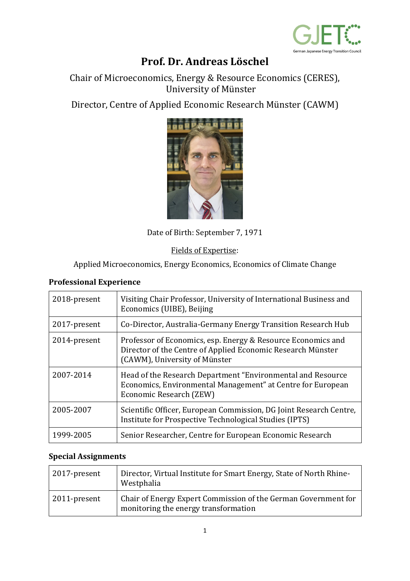

# **Prof. Dr. Andreas Löschel**

Chair of Microeconomics, Energy & Resource Economics (CERES), University of Münster

Director, Centre of Applied Economic Research Münster (CAWM)



Date of Birth: September 7, 1971

Fields of Expertise:

Applied Microeconomics, Energy Economics, Economics of Climate Change

#### **Professional Experience**

| 2018-present | Visiting Chair Professor, University of International Business and<br>Economics (UIBE), Beijing                                                              |
|--------------|--------------------------------------------------------------------------------------------------------------------------------------------------------------|
| 2017-present | Co-Director, Australia-Germany Energy Transition Research Hub                                                                                                |
| 2014-present | Professor of Economics, esp. Energy & Resource Economics and<br>Director of the Centre of Applied Economic Research Münster<br>(CAWM), University of Münster |
| 2007-2014    | Head of the Research Department "Environmental and Resource"<br>Economics, Environmental Management" at Centre for European<br>Economic Research (ZEW)       |
| 2005-2007    | Scientific Officer, European Commission, DG Joint Research Centre,<br>Institute for Prospective Technological Studies (IPTS)                                 |
| 1999-2005    | Senior Researcher, Centre for European Economic Research                                                                                                     |

#### **Special Assignments**

| 2017-present | Director, Virtual Institute for Smart Energy, State of North Rhine-<br>Westphalia                      |
|--------------|--------------------------------------------------------------------------------------------------------|
| 2011-present | Chair of Energy Expert Commission of the German Government for<br>monitoring the energy transformation |